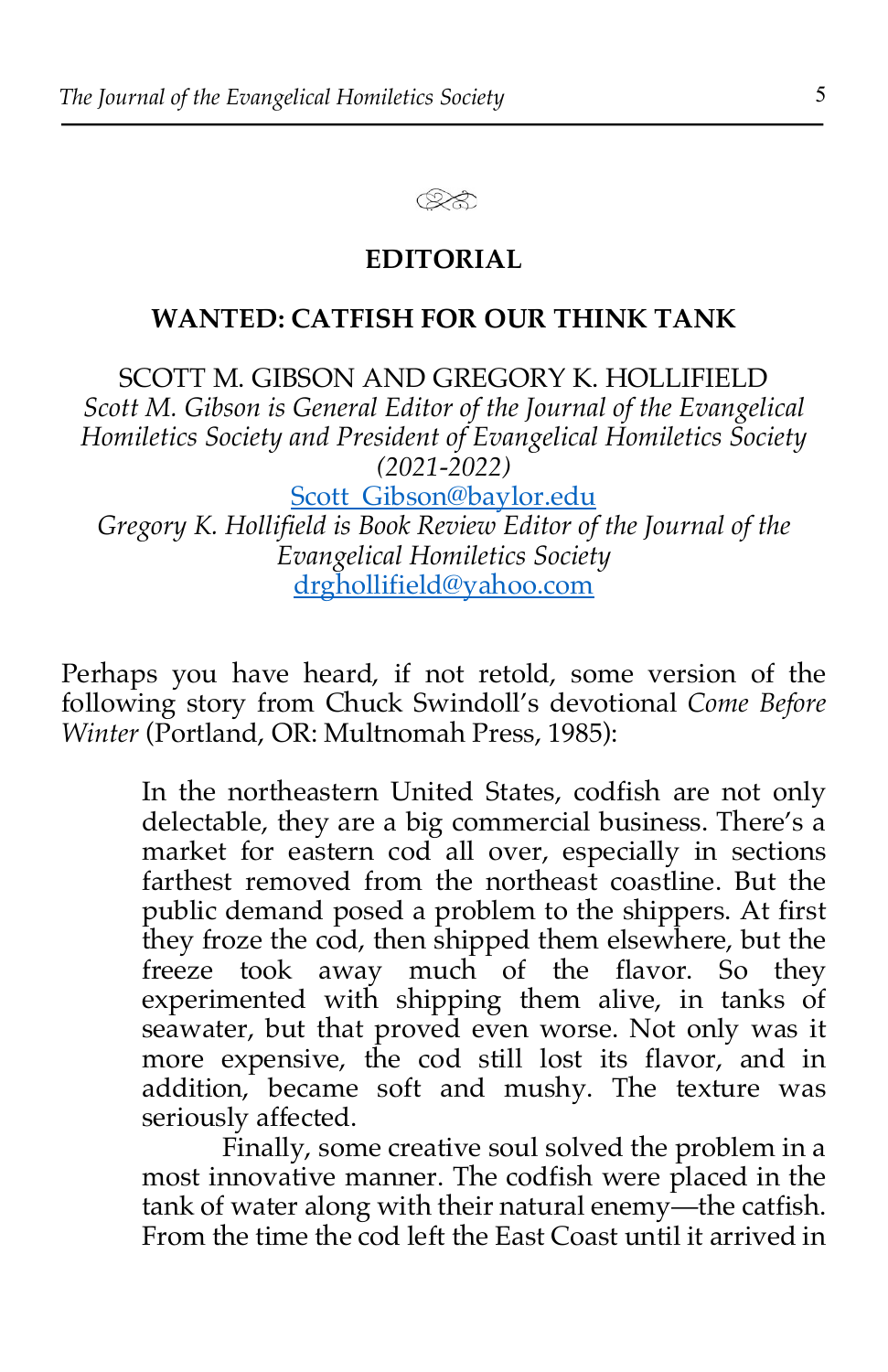

## **EDITORIAL**

## **WANTED: CATFISH FOR OUR THINK TANK**

SCOTT M. GIBSON AND GREGORY K. HOLLIFIELD *Scott M. Gibson is General Editor of the Journal of the Evangelical Homiletics Society and President of Evangelical Homiletics Society (2021-2022)*

Scott Gibson@baylor.edu *Gregory K. Hollifield is Book Review Editor of the Journal of the Evangelical Homiletics Society* drghollifield@yahoo.com

Perhaps you have heard, if not retold, some version of the following story from Chuck Swindoll's devotional *Come Before Winter* (Portland, OR: Multnomah Press, 1985):

> In the northeastern United States, codfish are not only delectable, they are a big commercial business. There's a market for eastern cod all over, especially in sections farthest removed from the northeast coastline. But the public demand posed a problem to the shippers. At first they froze the cod, then shipped them elsewhere, but the freeze took away much of the flavor. So they experimented with shipping them alive, in tanks of seawater, but that proved even worse. Not only was it more expensive, the cod still lost its flavor, and in addition, became soft and mushy. The texture was seriously affected.

> Finally, some creative soul solved the problem in a most innovative manner. The codfish were placed in the tank of water along with their natural enemy—the catfish. From the time the cod left the East Coast until it arrived in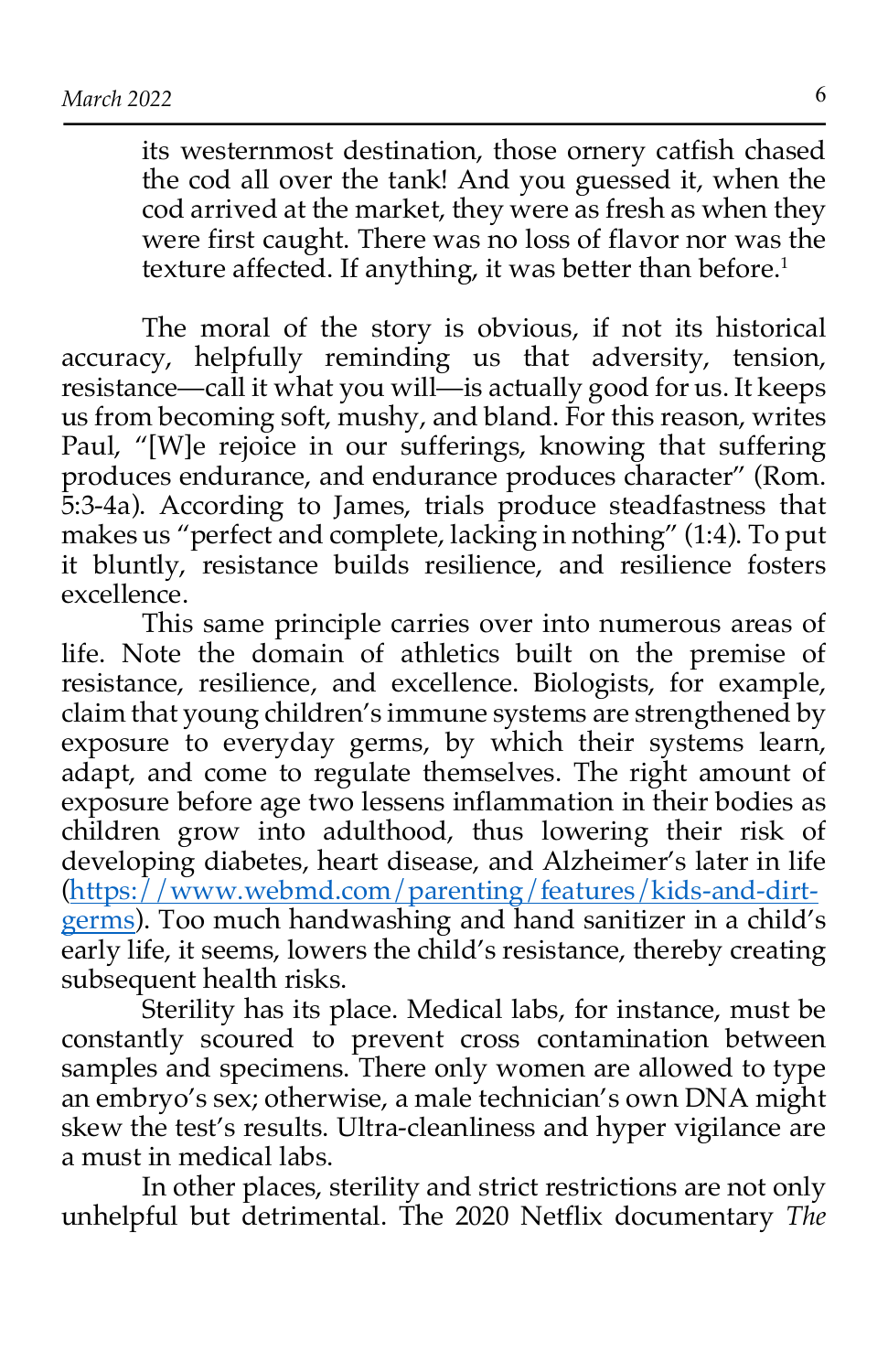its westernmost destination, those ornery catfish chased the cod all over the tank! And you guessed it, when the cod arrived at the market, they were as fresh as when they were first caught. There was no loss of flavor nor was the texture affected. If anything, it was better than before.<sup>1</sup>

The moral of the story is obvious, if not its historical accuracy, helpfully reminding us that adversity, tension, resistance—call it what you will—is actually good for us. It keeps us from becoming soft, mushy, and bland. For this reason, writes Paul, "[W]e rejoice in our sufferings, knowing that suffering produces endurance, and endurance produces character" (Rom. 5:3-4a). According to James, trials produce steadfastness that makes us "perfect and complete, lacking in nothing" (1:4). To put it bluntly, resistance builds resilience, and resilience fosters excellence.

This same principle carries over into numerous areas of life. Note the domain of athletics built on the premise of resistance, resilience, and excellence. Biologists, for example, claim that young children's immune systems are strengthened by exposure to everyday germs, by which their systems learn, adapt, and come to regulate themselves. The right amount of exposure before age two lessens inflammation in their bodies as children grow into adulthood, thus lowering their risk of developing diabetes, heart disease, and Alzheimer's later in life (https://www.webmd.com/parenting/features/kids-and-dirtgerms). Too much handwashing and hand sanitizer in a child's early life, it seems, lowers the child's resistance, thereby creating subsequent health risks.

Sterility has its place. Medical labs, for instance, must be constantly scoured to prevent cross contamination between samples and specimens. There only women are allowed to type an embryo's sex; otherwise, a male technician's own DNA might skew the test's results. Ultra-cleanliness and hyper vigilance are a must in medical labs.

In other places, sterility and strict restrictions are not only unhelpful but detrimental. The 2020 Netflix documentary *The*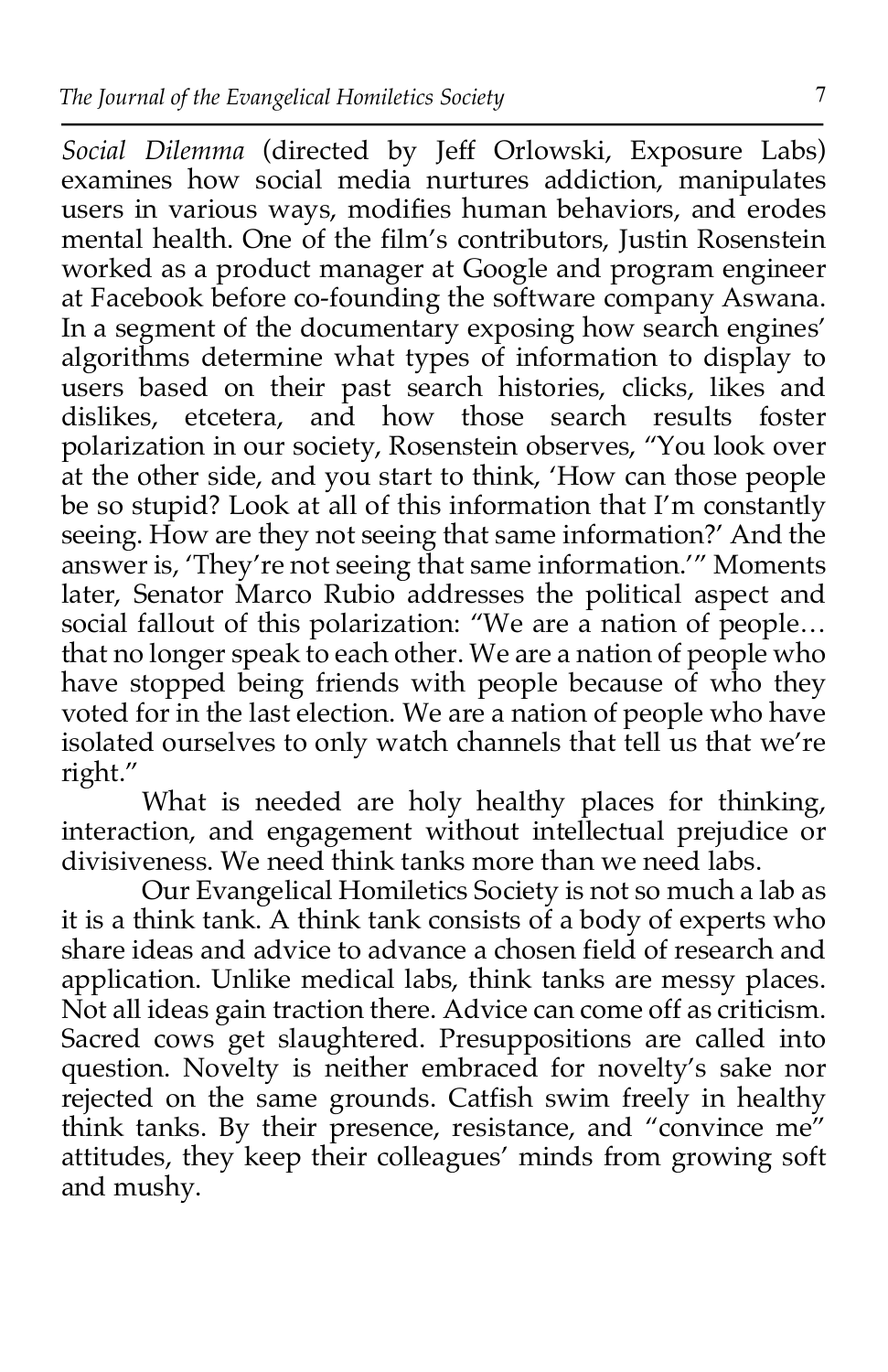*Social Dilemma* (directed by Jeff Orlowski, Exposure Labs) examines how social media nurtures addiction, manipulates users in various ways, modifies human behaviors, and erodes mental health. One of the film's contributors, Justin Rosenstein worked as a product manager at Google and program engineer at Facebook before co-founding the software company Aswana. In a segment of the documentary exposing how search engines' algorithms determine what types of information to display to users based on their past search histories, clicks, likes and dislikes, etcetera, and how those search results foster polarization in our society, Rosenstein observes, "You look over at the other side, and you start to think, 'How can those people be so stupid? Look at all of this information that I'm constantly seeing. How are they not seeing that same information?' And the answer is, 'They're not seeing that same information.'" Moments later, Senator Marco Rubio addresses the political aspect and social fallout of this polarization: "We are a nation of people... that no longer speak to each other. We are a nation of people who have stopped being friends with people because of who they voted for in the last election. We are a nation of people who have isolated ourselves to only watch channels that tell us that we're right."

What is needed are holy healthy places for thinking, interaction, and engagement without intellectual prejudice or divisiveness. We need think tanks more than we need labs.

Our Evangelical Homiletics Society is not so much a lab as it is a think tank. A think tank consists of a body of experts who share ideas and advice to advance a chosen field of research and application. Unlike medical labs, think tanks are messy places. Not all ideas gain traction there. Advice can come off as criticism. Sacred cows get slaughtered. Presuppositions are called into question. Novelty is neither embraced for novelty's sake nor rejected on the same grounds. Catfish swim freely in healthy think tanks. By their presence, resistance, and "convince me" attitudes, they keep their colleagues' minds from growing soft and mushy.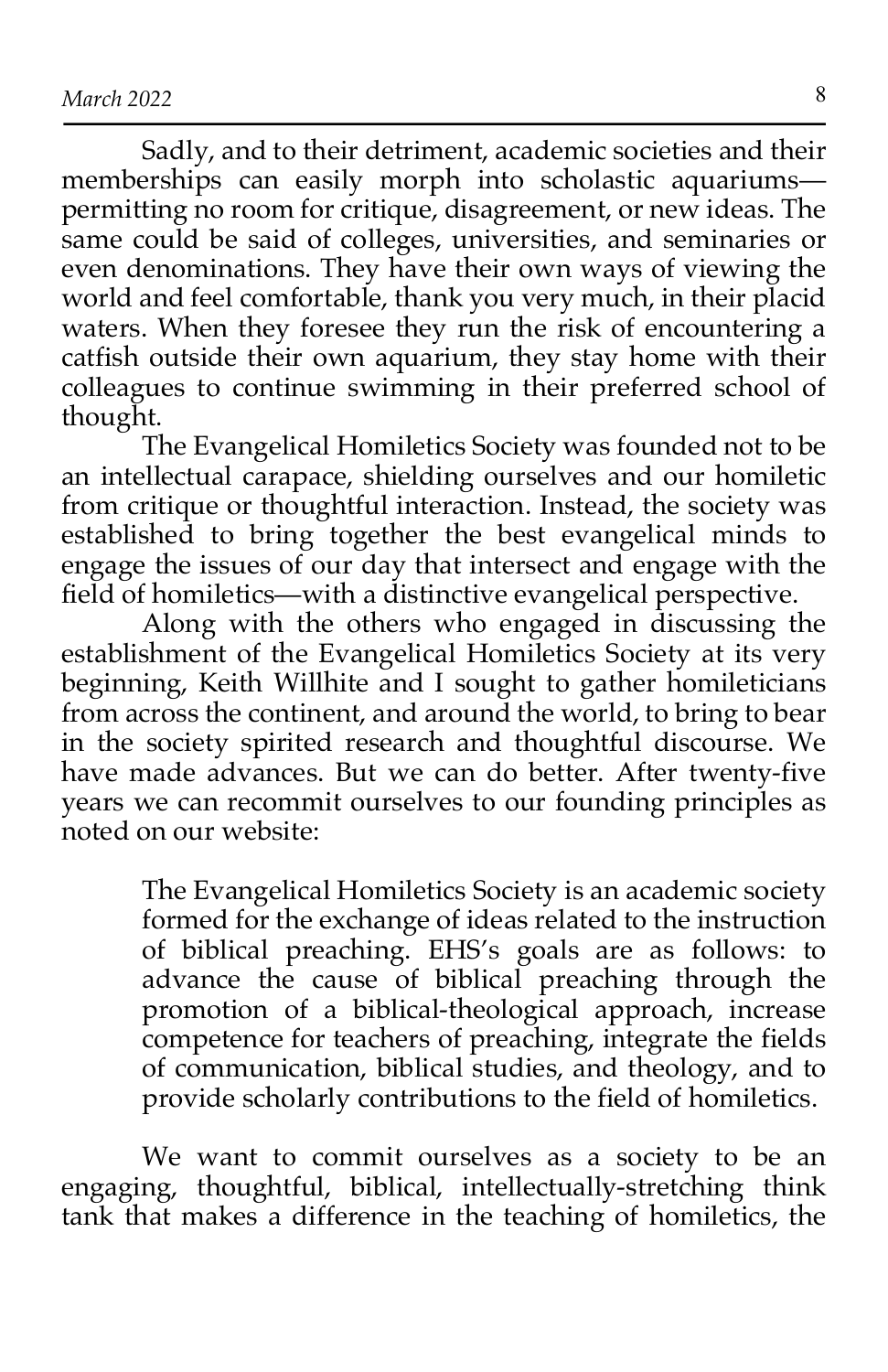Sadly, and to their detriment, academic societies and their memberships can easily morph into scholastic aquariums permitting no room for critique, disagreement, or new ideas. The same could be said of colleges, universities, and seminaries or even denominations. They have their own ways of viewing the world and feel comfortable, thank you very much, in their placid waters. When they foresee they run the risk of encountering a catfish outside their own aquarium, they stay home with their colleagues to continue swimming in their preferred school of thought.

The Evangelical Homiletics Society was founded not to be an intellectual carapace, shielding ourselves and our homiletic from critique or thoughtful interaction. Instead, the society was established to bring together the best evangelical minds to engage the issues of our day that intersect and engage with the field of homiletics—with a distinctive evangelical perspective.

Along with the others who engaged in discussing the establishment of the Evangelical Homiletics Society at its very beginning, Keith Willhite and I sought to gather homileticians from across the continent, and around the world, to bring to bear in the society spirited research and thoughtful discourse. We have made advances. But we can do better. After twenty-five years we can recommit ourselves to our founding principles as noted on our website:

> The Evangelical Homiletics Society is an academic society formed for the exchange of ideas related to the instruction of biblical preaching. EHS's goals are as follows: to advance the cause of biblical preaching through the promotion of a biblical-theological approach, increase competence for teachers of preaching, integrate the fields of communication, biblical studies, and theology, and to provide scholarly contributions to the field of homiletics.

We want to commit ourselves as a society to be an engaging, thoughtful, biblical, intellectually-stretching think tank that makes a difference in the teaching of homiletics, the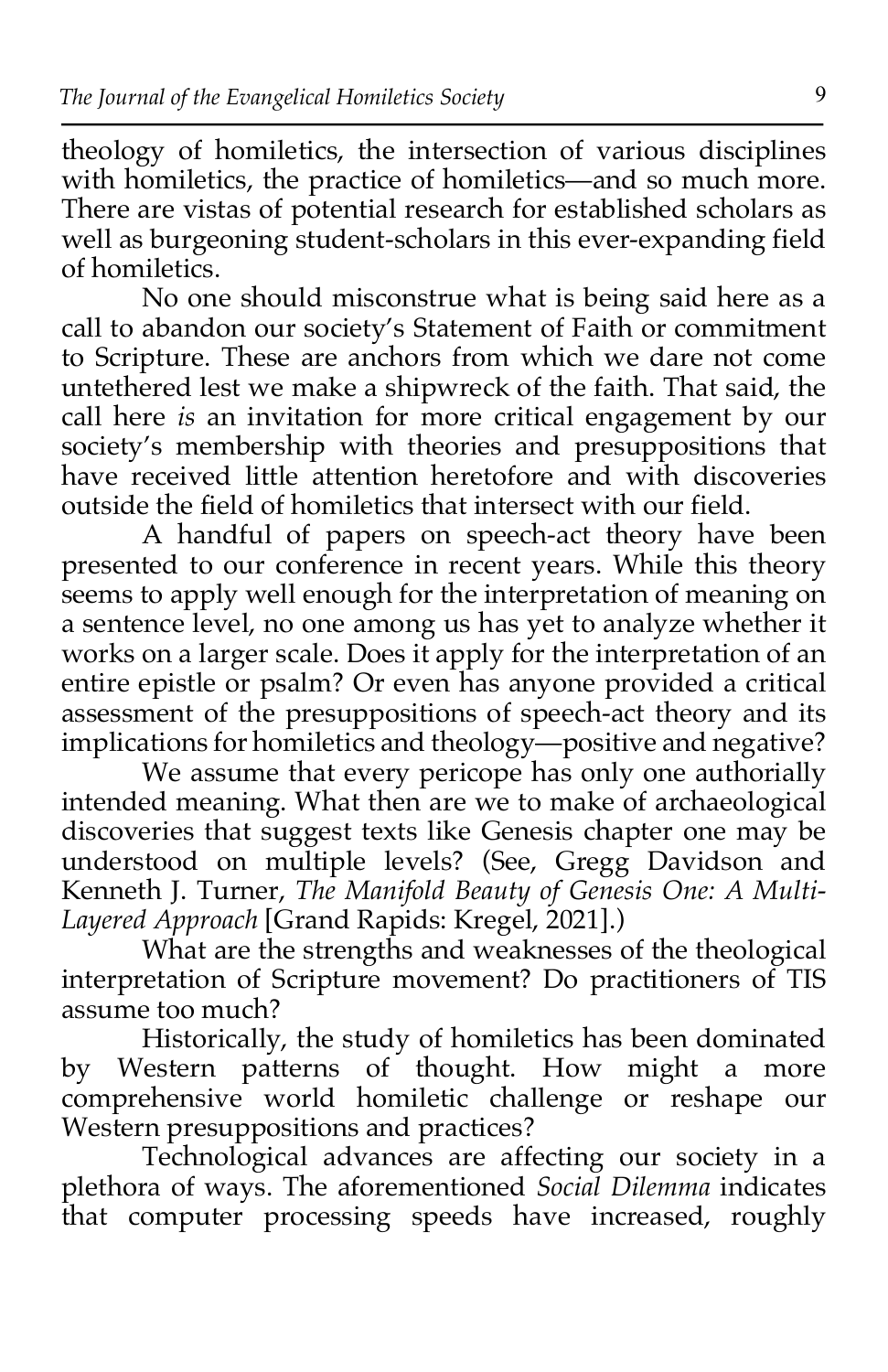theology of homiletics, the intersection of various disciplines with homiletics, the practice of homiletics—and so much more. There are vistas of potential research for established scholars as well as burgeoning student-scholars in this ever-expanding field of homiletics.

No one should misconstrue what is being said here as a call to abandon our society's Statement of Faith or commitment to Scripture. These are anchors from which we dare not come untethered lest we make a shipwreck of the faith. That said, the call here *is* an invitation for more critical engagement by our society's membership with theories and presuppositions that have received little attention heretofore and with discoveries outside the field of homiletics that intersect with our field.

A handful of papers on speech-act theory have been presented to our conference in recent years. While this theory seems to apply well enough for the interpretation of meaning on a sentence level, no one among us has yet to analyze whether it works on a larger scale. Does it apply for the interpretation of an entire epistle or psalm? Or even has anyone provided a critical assessment of the presuppositions of speech-act theory and its implications for homiletics and theology—positive and negative?

We assume that every pericope has only one authorially intended meaning. What then are we to make of archaeological discoveries that suggest texts like Genesis chapter one may be understood on multiple levels? (See, Gregg Davidson and Kenneth J. Turner, *The Manifold Beauty of Genesis One: A Multi-*Layered Approach [Grand Rapids: Kregel, 2021].)

What are the strengths and weaknesses of the theological interpretation of Scripture movement? Do practitioners of TIS assume too much?

Historically, the study of homiletics has been dominated by Western patterns of thought. How might a more comprehensive world homiletic challenge or reshape our Western presuppositions and practices?

Technological advances are affecting our society in a plethora of ways. The aforementioned *Social Dilemma* indicates that computer processing speeds have increased, roughly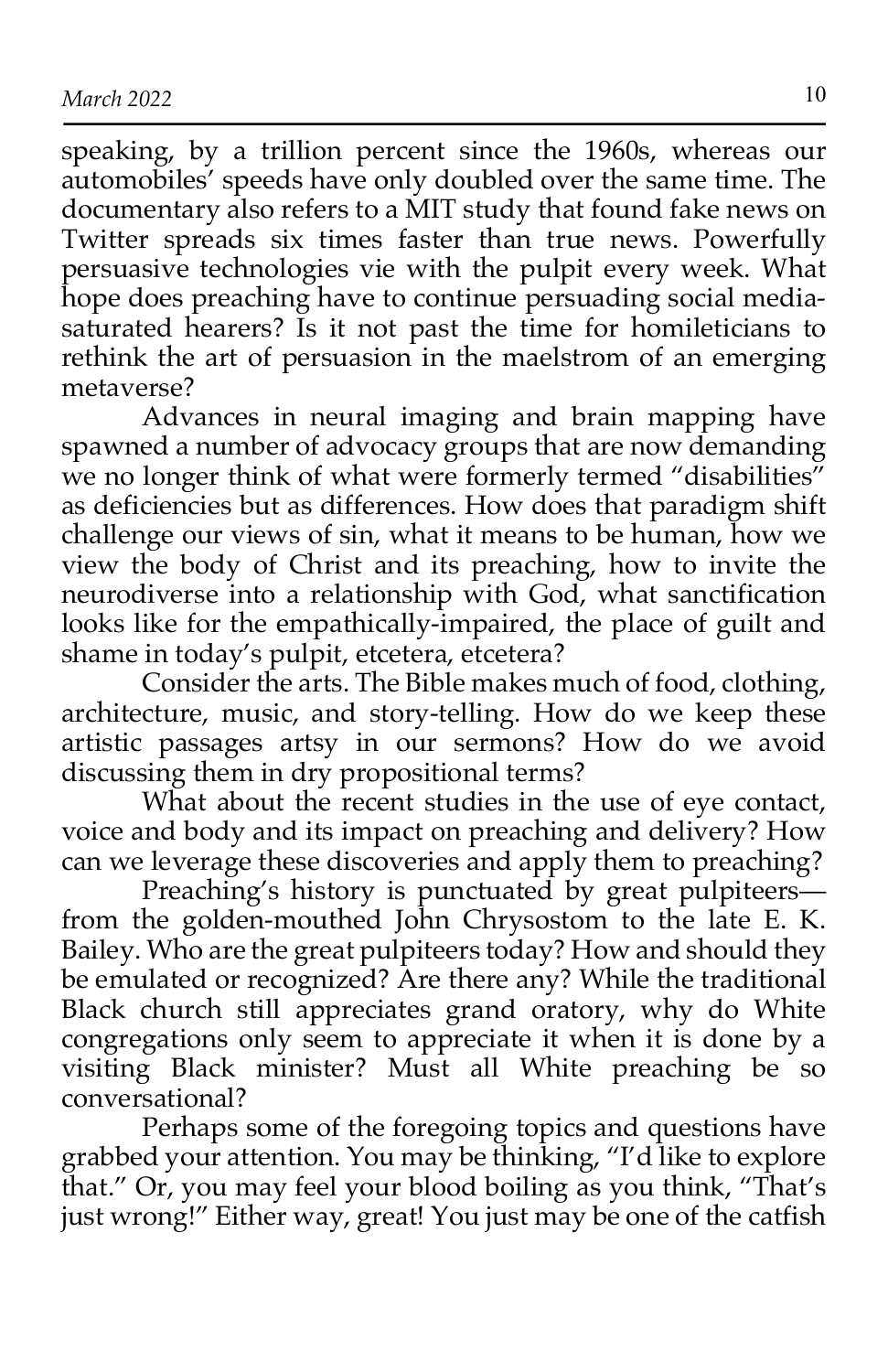speaking, by a trillion percent since the 1960s, whereas our automobiles' speeds have only doubled over the same time. The documentary also refers to a MIT study that found fake news on Twitter spreads six times faster than true news. Powerfully persuasive technologies vie with the pulpit every week. What hope does preaching have to continue persuading social mediasaturated hearers? Is it not past the time for homileticians to rethink the art of persuasion in the maelstrom of an emerging metaverse?

Advances in neural imaging and brain mapping have spawned a number of advocacy groups that are now demanding we no longer think of what were formerly termed "disabilities" as deficiencies but as differences. How does that paradigm shift challenge our views of sin, what it means to be human, how we view the body of Christ and its preaching, how to invite the neurodiverse into a relationship with God, what sanctification looks like for the empathically-impaired, the place of guilt and shame in today's pulpit, etcetera, etcetera?

Consider the arts. The Bible makes much of food, clothing, architecture, music, and story-telling. How do we keep these artistic passages artsy in our sermons? How do we avoid discussing them in dry propositional terms?

What about the recent studies in the use of eye contact, voice and body and its impact on preaching and delivery? How can we leverage these discoveries and apply them to preaching?

Preaching's history is punctuated by great pulpiteers from the golden-mouthed John Chrysostom to the late E. K. Bailey. Who are the great pulpiteers today? How and should they be emulated or recognized? Are there any? While the traditional Black church still appreciates grand oratory, why do White congregations only seem to appreciate it when it is done by a visiting Black minister? Must all White preaching be so conversational?

Perhaps some of the foregoing topics and questions have grabbed your attention. You may be thinking, "I'd like to explore that." Or, you may feel your blood boiling as you think, "That's just wrong!" Either way, great! You just may be one of the catfish